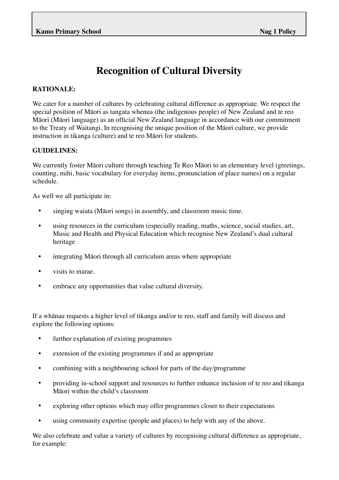## **Recognition of Cultural Diversity**

## **RATIONALE:**

We cater for a number of cultures by celebrating cultural difference as appropriate. We respect the special position of Māori as tangata whenua (the indigenous people) of New Zealand and te reo Māori (Māori language) as an official New Zealand language in accordance with our commitment to the Treaty of Waitangi. In recognising the unique position of the Māori culture, we provide instruction in tikanga (culture) and te reo Māori for students.

## **GUIDELINES:**

We currently foster Māori culture through teaching Te Reo Māori to an elementary level (greetings, counting, mihi, basic vocabulary for everyday items, pronunciation of place names) on a regular schedule.

As well we all participate in:

- singing waiata (Māori songs) in assembly, and classroom music time.
- using resources in the curriculum (especially reading, maths, science, social studies, art, Music and Health and Physical Education which recognise New Zealand's dual cultural heritage
- integrating Māori through all curriculum areas where appropriate
- visits to marae.
- embrace any opportunities that value cultural diversity.

If a whānau requests a higher level of tikanga and/or te reo, staff and family will discuss and explore the following options:

- further explanation of existing programmes
- extension of the existing programmes if and as appropriate
- combining with a neighbouring school for parts of the day/programme
- providing in-school support and resources to further enhance inclusion of te reo and tikanga Māori within the child's classroom
- exploring other options which may offer programmes closer to their expectations
- using community expertise (people and places) to help with any of the above.

We also celebrate and value a variety of cultures by recognising cultural difference as appropriate, for example: